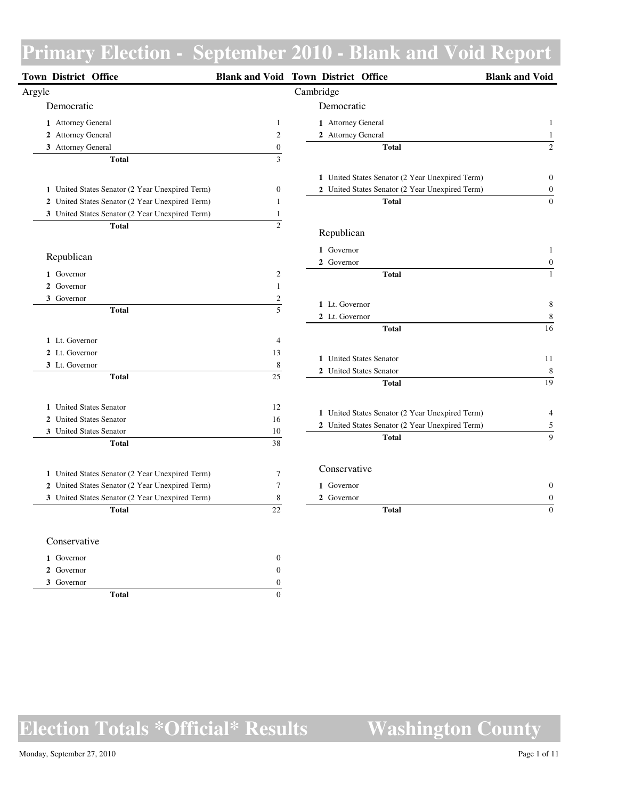| Town District Office                            |                  | <b>Blank and Void Town District Office</b>      | <b>Blank and Void</b> |
|-------------------------------------------------|------------------|-------------------------------------------------|-----------------------|
| Argyle                                          |                  | Cambridge                                       |                       |
| Democratic                                      |                  | Democratic                                      |                       |
| 1 Attorney General                              | $\mathbf{1}$     | 1 Attorney General                              | $\mathbf{1}$          |
| 2 Attorney General                              | $\sqrt{2}$       | 2 Attorney General                              | $\mathbf{1}$          |
| 3 Attorney General                              | $\boldsymbol{0}$ | <b>Total</b>                                    | $\overline{c}$        |
| <b>Total</b>                                    | $\overline{3}$   |                                                 |                       |
|                                                 |                  | 1 United States Senator (2 Year Unexpired Term) | $\boldsymbol{0}$      |
| 1 United States Senator (2 Year Unexpired Term) | $\boldsymbol{0}$ | 2 United States Senator (2 Year Unexpired Term) | $\boldsymbol{0}$      |
| 2 United States Senator (2 Year Unexpired Term) | $\mathbf{1}$     | <b>Total</b>                                    | $\boldsymbol{0}$      |
| 3 United States Senator (2 Year Unexpired Term) | $\mathbf{1}$     |                                                 |                       |
| <b>Total</b>                                    | $\overline{2}$   | Republican                                      |                       |
|                                                 |                  | 1 Governor                                      | $\mathbf{1}$          |
| Republican                                      |                  | 2 Governor                                      | $\boldsymbol{0}$      |
| 1 Governor                                      | $\boldsymbol{2}$ | <b>Total</b>                                    | $\,1$                 |
| 2 Governor                                      | $\mathbf{1}$     |                                                 |                       |
| 3 Governor                                      | $\sqrt{2}$       |                                                 |                       |
| <b>Total</b>                                    | $\overline{5}$   | 1 Lt. Governor                                  | $8\phantom{1}$        |
|                                                 |                  | 2 Lt. Governor                                  | $\,$ 8 $\,$           |
|                                                 | $\overline{4}$   | <b>Total</b>                                    | 16                    |
| 1 Lt. Governor                                  |                  |                                                 |                       |
| 2 Lt. Governor                                  | 13               | 1 United States Senator                         | 11                    |
| 3 Lt. Governor<br><b>Total</b>                  | $\,8\,$<br>25    | 2 United States Senator                         | 8                     |
|                                                 |                  | <b>Total</b>                                    | 19                    |
| 1 United States Senator                         | 12               |                                                 |                       |
| 2 United States Senator                         | 16               | 1 United States Senator (2 Year Unexpired Term) | $\overline{4}$        |
| 3 United States Senator                         | 10               | 2 United States Senator (2 Year Unexpired Term) | $\sqrt{5}$            |
| <b>Total</b>                                    | 38               | <b>Total</b>                                    | $\overline{9}$        |
|                                                 |                  |                                                 |                       |
| 1 United States Senator (2 Year Unexpired Term) | $\overline{7}$   | Conservative                                    |                       |
| 2 United States Senator (2 Year Unexpired Term) | $\tau$           | 1 Governor                                      | $\boldsymbol{0}$      |
| 3 United States Senator (2 Year Unexpired Term) | $\,$ 8 $\,$      | 2 Governor                                      | $\boldsymbol{0}$      |
| <b>Total</b>                                    | 22               | <b>Total</b>                                    | $\boldsymbol{0}$      |
| Conservative                                    |                  |                                                 |                       |
| 1 Governor                                      | $\boldsymbol{0}$ |                                                 |                       |
| 2 Governor                                      | $\boldsymbol{0}$ |                                                 |                       |
| 3 Governor                                      | $\Omega$         |                                                 |                       |

**Election Totals \*Official\* Results Washington County**

**Total** 0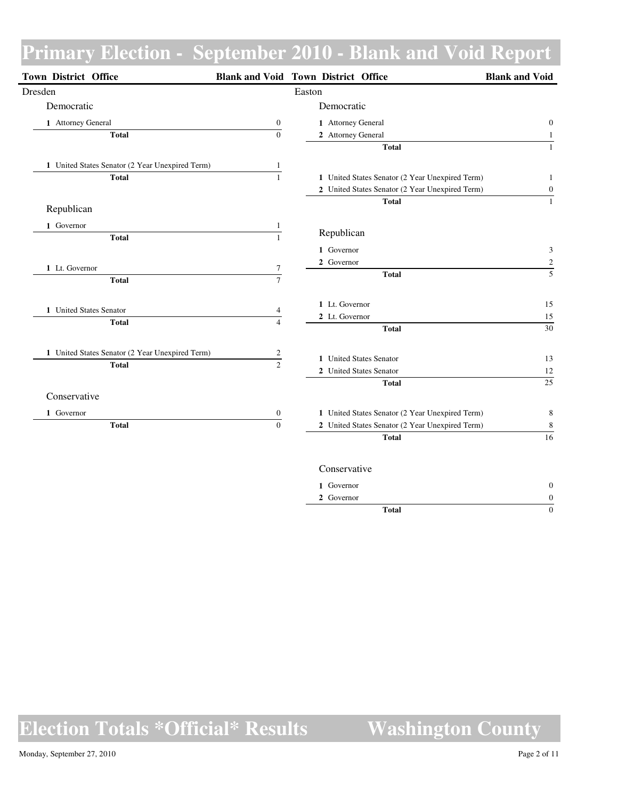| <b>Town District Office</b>                     |                         | <b>Blank and Void Town District Office</b>         | <b>Blank and Void</b> |
|-------------------------------------------------|-------------------------|----------------------------------------------------|-----------------------|
| Dresden                                         |                         | Easton                                             |                       |
| Democratic                                      |                         | Democratic                                         |                       |
| 1 Attorney General                              | $\boldsymbol{0}$        | 1 Attorney General                                 | $\mathbf{0}$          |
| <b>Total</b>                                    | $\Omega$                | 2 Attorney General                                 | $\mathbf{1}$          |
|                                                 |                         | <b>Total</b>                                       | $\mathbf{1}$          |
| 1 United States Senator (2 Year Unexpired Term) | $\mathbf{1}$            |                                                    |                       |
| <b>Total</b>                                    | $\overline{1}$          | 1 United States Senator (2 Year Unexpired Term)    | 1                     |
|                                                 |                         | 2 United States Senator (2 Year Unexpired Term)    | $\boldsymbol{0}$      |
| Republican                                      |                         | <b>Total</b>                                       | $\mathbf{1}$          |
| 1 Governor                                      | $\mathbf{1}$            |                                                    |                       |
| <b>Total</b>                                    | $\overline{1}$          | Republican                                         |                       |
|                                                 |                         | 1 Governor                                         | 3                     |
| 1 Lt. Governor                                  | 7                       | 2 Governor                                         | $\frac{2}{5}$         |
| <b>Total</b>                                    | $\overline{7}$          | <b>Total</b>                                       |                       |
|                                                 |                         | 1 Lt. Governor                                     | 15                    |
| 1 United States Senator                         | 4                       | 2 Lt. Governor                                     | 15                    |
| <b>Total</b>                                    | $\overline{4}$          | <b>Total</b>                                       | 30                    |
| 1 United States Senator (2 Year Unexpired Term) | $\overline{\mathbf{c}}$ |                                                    |                       |
| <b>Total</b>                                    | $\overline{2}$          | 1 United States Senator<br>2 United States Senator | 13<br>12              |
|                                                 |                         | <b>Total</b>                                       | $\overline{25}$       |
| Conservative                                    |                         |                                                    |                       |
| 1 Governor                                      | $\boldsymbol{0}$        | 1 United States Senator (2 Year Unexpired Term)    | 8                     |
| <b>Total</b>                                    | $\overline{0}$          | 2 United States Senator (2 Year Unexpired Term)    | 8                     |
|                                                 |                         | <b>Total</b>                                       | $\frac{1}{16}$        |
|                                                 |                         | Conservative                                       |                       |
|                                                 |                         | 1 Governor                                         | $\mathbf{0}$          |
|                                                 |                         | 2 Governor                                         | $\boldsymbol{0}$      |

**Total** 0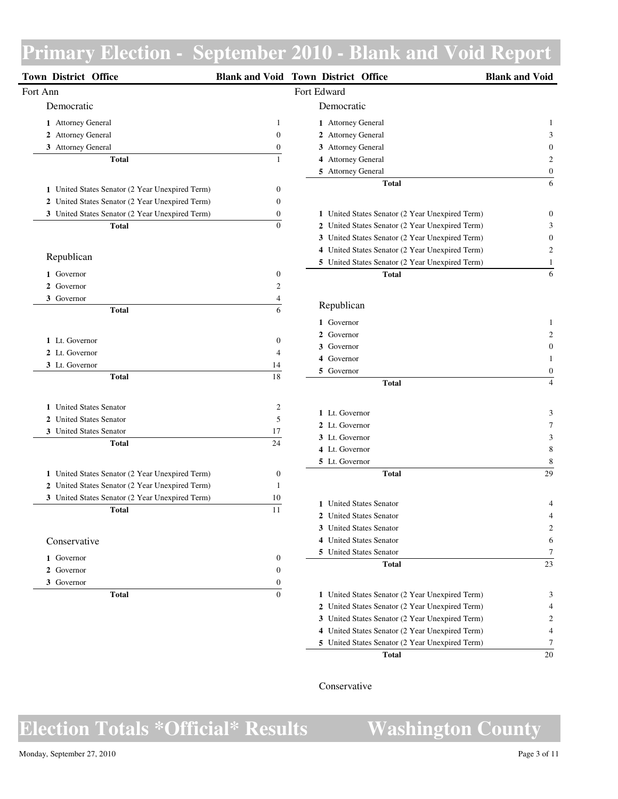| <b>Town District Office</b>                                                                        |                  | <b>Blank and Void Town District Office</b>      | <b>Blank and Void</b> |
|----------------------------------------------------------------------------------------------------|------------------|-------------------------------------------------|-----------------------|
| Fort Ann                                                                                           |                  | Fort Edward                                     |                       |
| Democratic                                                                                         |                  | Democratic                                      |                       |
| 1 Attorney General                                                                                 | 1                | 1 Attorney General                              | 1                     |
| 2 Attorney General                                                                                 | $\boldsymbol{0}$ | 2 Attorney General                              | 3                     |
| 3 Attorney General                                                                                 | 0                | 3 Attorney General                              |                       |
| <b>Total</b>                                                                                       | 1                | 4 Attorney General                              |                       |
|                                                                                                    |                  | 5 Attorney General                              | $\boldsymbol{0}$      |
| 1 United States Senator (2 Year Unexpired Term)                                                    | 0                | <b>Total</b>                                    | 6                     |
| 2 United States Senator (2 Year Unexpired Term)                                                    | $\boldsymbol{0}$ |                                                 |                       |
| 3 United States Senator (2 Year Unexpired Term)                                                    | 0                | 1 United States Senator (2 Year Unexpired Term) | 0                     |
| <b>Total</b>                                                                                       | $\boldsymbol{0}$ | 2 United States Senator (2 Year Unexpired Term) | 3                     |
|                                                                                                    |                  | 3 United States Senator (2 Year Unexpired Term) | 0                     |
|                                                                                                    |                  | 4 United States Senator (2 Year Unexpired Term) | $\overline{c}$        |
| Republican                                                                                         |                  | 5 United States Senator (2 Year Unexpired Term) | 1                     |
| 1 Governor                                                                                         | 0                | <b>Total</b>                                    | 6                     |
| 2 Governor                                                                                         | 2                |                                                 |                       |
| 3 Governor                                                                                         | 4                |                                                 |                       |
| <b>Total</b>                                                                                       | 6                | Republican                                      |                       |
|                                                                                                    |                  | 1 Governor                                      |                       |
| 1 Lt. Governor                                                                                     |                  | 2 Governor                                      |                       |
| 2 Lt. Governor                                                                                     | 0                | 3 Governor                                      | 0                     |
| 3 Lt. Governor                                                                                     | 4                | 4 Governor                                      |                       |
| <b>Total</b>                                                                                       | 14<br>18         | 5 Governor                                      | $\boldsymbol{0}$      |
|                                                                                                    |                  | <b>Total</b>                                    | $\overline{4}$        |
| 1 United States Senator                                                                            | 2                |                                                 |                       |
| <b>United States Senator</b><br>$\mathbf{2}$                                                       | 5                | 1 Lt. Governor                                  | 3                     |
| 3 United States Senator                                                                            | 17               | 2 Lt. Governor                                  | 7                     |
| <b>Total</b>                                                                                       | 24               | 3 Lt. Governor                                  | 3                     |
|                                                                                                    |                  | 4 Lt. Governor                                  | 8                     |
|                                                                                                    |                  | 5 Lt. Governor<br><b>Total</b>                  | 8<br>29               |
| 1 United States Senator (2 Year Unexpired Term)<br>2 United States Senator (2 Year Unexpired Term) | 0<br>1           |                                                 |                       |
| 3 United States Senator (2 Year Unexpired Term)                                                    | 10               |                                                 |                       |
| <b>Total</b>                                                                                       | 11               | 1 United States Senator                         | 4                     |
|                                                                                                    |                  | 2 United States Senator                         | 4                     |
|                                                                                                    |                  | 3 United States Senator                         |                       |
| Conservative                                                                                       |                  | 4 United States Senator                         | 6                     |
| 1 Governor                                                                                         | 0                | 5 United States Senator                         | 7                     |
| 2 Governor                                                                                         | 0                | <b>Total</b>                                    | 23                    |
| 3 Governor                                                                                         | 0                |                                                 |                       |
| <b>Total</b>                                                                                       | $\boldsymbol{0}$ | 1 United States Senator (2 Year Unexpired Term) | 3                     |
|                                                                                                    |                  | 2 United States Senator (2 Year Unexpired Term) | 4                     |
|                                                                                                    |                  | 3 United States Senator (2 Year Unexpired Term) | $\overline{c}$        |
|                                                                                                    |                  | 4 United States Senator (2 Year Unexpired Term) | $\overline{4}$        |

### Conservative

**Election Totals \*Official\* Results Washington County**

### Monday, September 27, 2010 Page 3 of 11

**Total** 20

United States Senator (2 Year Unexpired Term) 7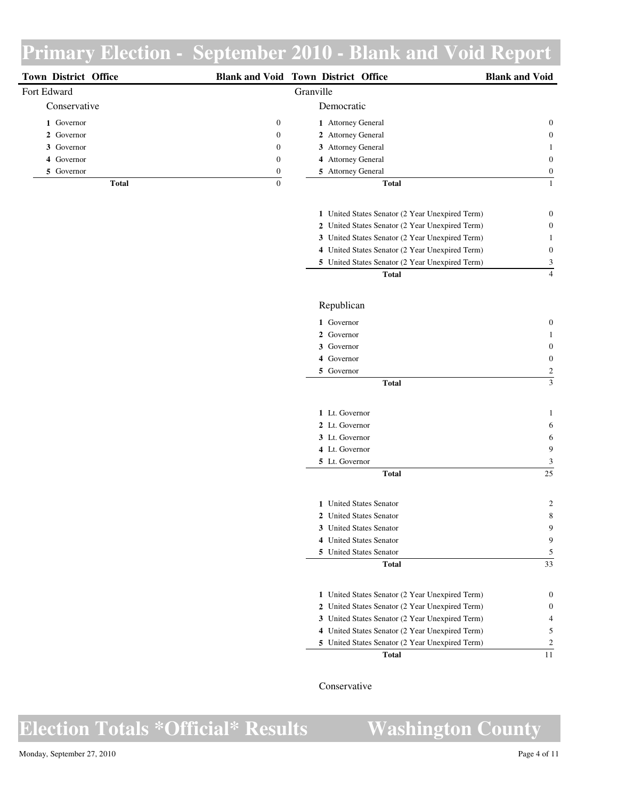| <b>Town District Office</b> |                  | <b>Blank and Void Town District Office</b> | <b>Blank and Void</b> |
|-----------------------------|------------------|--------------------------------------------|-----------------------|
| Fort Edward                 |                  | Granville                                  |                       |
| Conservative                |                  | Democratic                                 |                       |
| 1 Governor                  | $\boldsymbol{0}$ | 1 Attorney General                         | $\overline{0}$        |
| 2 Governor                  | $\mathbf{0}$     | 2 Attorney General                         | $\overline{0}$        |
| 3 Governor                  | $\boldsymbol{0}$ | 3 Attorney General                         |                       |
| 4 Governor                  | $\boldsymbol{0}$ | 4 Attorney General                         | $\theta$              |
| 5 Governor                  | $\mathbf{0}$     | 5 Attorney General                         | $\Omega$              |
| Total                       | 0                | <b>Total</b>                               |                       |

| Total                                           |   |
|-------------------------------------------------|---|
| 5 United States Senator (2 Year Unexpired Term) | 3 |
| 4 United States Senator (2 Year Unexpired Term) | 0 |
| 3 United States Senator (2 Year Unexpired Term) |   |
| 2 United States Senator (2 Year Unexpired Term) | 0 |
| 1 United States Senator (2 Year Unexpired Term) | 0 |
|                                                 |   |

### Republican

| 1 Governor     | 0        |
|----------------|----------|
| 2 Governor     | 1        |
| 3 Governor     | $\theta$ |
| 4 Governor     | $\theta$ |
| 5 Governor     | 2        |
| <b>Total</b>   | 3        |
|                |          |
| 1 Lt. Governor |          |

| Total          |               |
|----------------|---------------|
| 5 Lt. Governor | $\mathcal{R}$ |
| 4 Lt. Governor | 9             |
| 3 Lt. Governor | 6             |
| 2 Lt. Governor | 6             |

| Total                   | 33            |
|-------------------------|---------------|
| 5 United States Senator | 5             |
| 4 United States Senator | 9             |
| 3 United States Senator | 9             |
| 2 United States Senator | 8             |
| 1 United States Senator | $\mathcal{D}$ |
|                         |               |

| Total                                           |  |
|-------------------------------------------------|--|
| 5 United States Senator (2 Year Unexpired Term) |  |
| 4 United States Senator (2 Year Unexpired Term) |  |
| 3 United States Senator (2 Year Unexpired Term) |  |
| 2 United States Senator (2 Year Unexpired Term) |  |
| 1 United States Senator (2 Year Unexpired Term) |  |
|                                                 |  |

Conservative

ш.

 $\overline{a}$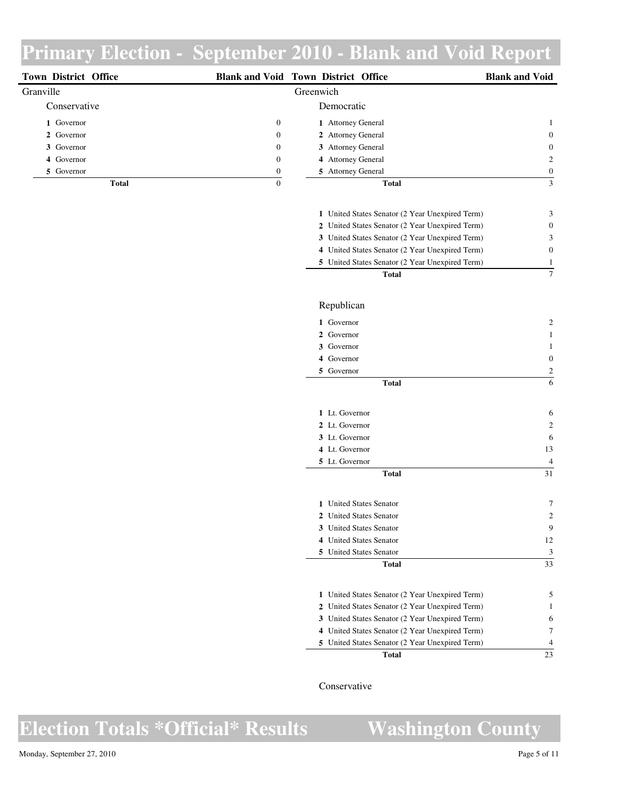| <b>Town District Office</b> |              | <b>Blank and Void Town District Office</b> | <b>Blank and Void</b> |
|-----------------------------|--------------|--------------------------------------------|-----------------------|
| Granville                   |              | Greenwich                                  |                       |
| Conservative                |              | Democratic                                 |                       |
| 1 Governor                  | $\mathbf{0}$ | 1 Attorney General                         |                       |
| 2 Governor                  | $\mathbf{0}$ | 2 Attorney General                         | $\overline{0}$        |
| 3 Governor                  | $\mathbf{0}$ | 3 Attorney General                         | $\overline{0}$        |
| 4 Governor                  | $\mathbf{0}$ | 4 Attorney General                         | 2                     |
| 5 Governor                  | $\Omega$     | 5 Attorney General                         | $\Omega$              |
| <b>Total</b>                | 0            | <b>Total</b>                               | $\mathfrak{Z}$        |

| Total                                           |   |
|-------------------------------------------------|---|
| 5 United States Senator (2 Year Unexpired Term) |   |
| 4 United States Senator (2 Year Unexpired Term) | 0 |
| 3 United States Senator (2 Year Unexpired Term) | 3 |
| 2 United States Senator (2 Year Unexpired Term) | 0 |
| 1 United States Senator (2 Year Unexpired Term) | 3 |
|                                                 |   |

### Republican

|   | 1 Governor     |              | 2              |
|---|----------------|--------------|----------------|
|   | 2 Governor     |              | 1              |
| 3 | Governor       |              | 1              |
| 4 | Governor       |              | $\overline{0}$ |
|   | 5 Governor     |              | 2              |
|   |                | <b>Total</b> | 6              |
|   |                |              |                |
|   | 1 Lt. Governor |              | 6              |
|   | 2 Lt. Governor |              | 2              |
|   | 3 Lt. Governor |              | 6              |
|   | 4 Lt. Governor |              | 13             |
|   | 5 Lt. Governor |              | $\overline{4}$ |
|   |                | <b>Total</b> | 31             |

| Total                          |    |
|--------------------------------|----|
| <b>5</b> United States Senator | 3  |
| 4 United States Senator        | 12 |
| 3 United States Senator        | 9  |
| 2 United States Senator        | 2  |
| 1 United States Senator        |    |
|                                |    |

| 5 United States Senator (2 Year Unexpired Term) |    |
|-------------------------------------------------|----|
|                                                 |    |
| 4 United States Senator (2 Year Unexpired Term) |    |
| 3 United States Senator (2 Year Unexpired Term) | 6. |
| 2 United States Senator (2 Year Unexpired Term) |    |
| 1 United States Senator (2 Year Unexpired Term) |    |

Conservative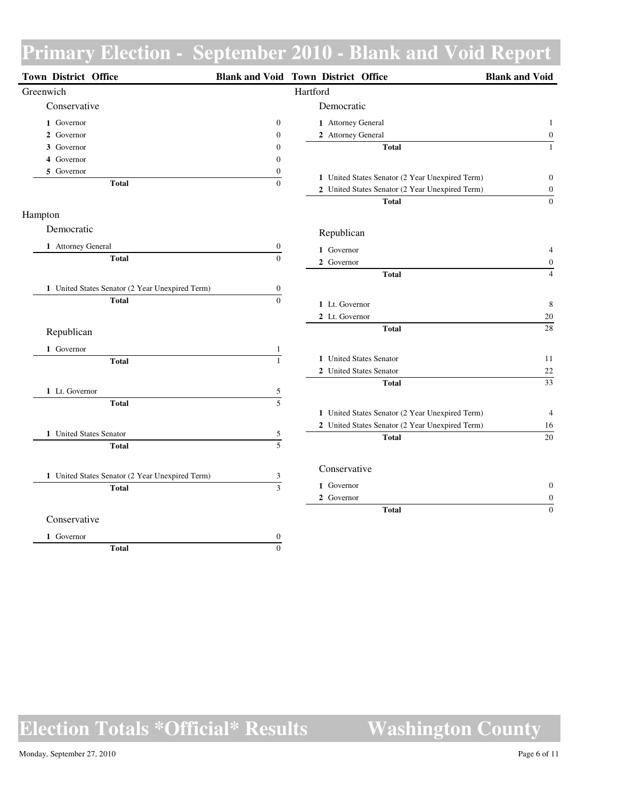| Town District Office                            |                                | <b>Blank and Void Town District Office</b>      | <b>Blank and Void</b> |
|-------------------------------------------------|--------------------------------|-------------------------------------------------|-----------------------|
| Greenwich                                       |                                | Hartford                                        |                       |
| Conservative                                    |                                | Democratic                                      |                       |
| 1 Governor                                      | $\boldsymbol{0}$               | 1 Attorney General                              | $\mathbf{1}$          |
| 2 Governor                                      | $\boldsymbol{0}$               | 2 Attorney General                              | $\boldsymbol{0}$      |
| 3 Governor                                      | $\boldsymbol{0}$               | <b>Total</b>                                    | $\mathbf{1}$          |
| 4 Governor                                      | $\mathbf{0}$                   |                                                 |                       |
| 5 Governor                                      | $\boldsymbol{0}$               | 1 United States Senator (2 Year Unexpired Term) | $\boldsymbol{0}$      |
| <b>Total</b>                                    | $\mathbf{0}$                   | 2 United States Senator (2 Year Unexpired Term) | $\boldsymbol{0}$      |
|                                                 |                                | <b>Total</b>                                    | $\boldsymbol{0}$      |
| Hampton                                         |                                |                                                 |                       |
| Democratic                                      |                                | Republican                                      |                       |
| 1 Attorney General                              | $\boldsymbol{0}$               | 1 Governor                                      | $\overline{4}$        |
| <b>Total</b>                                    | $\overline{0}$                 | 2 Governor                                      | $\boldsymbol{0}$      |
|                                                 |                                | <b>Total</b>                                    | $\overline{4}$        |
| 1 United States Senator (2 Year Unexpired Term) | $\mathbf{0}$                   |                                                 |                       |
| <b>Total</b>                                    | $\theta$                       | 1 Lt. Governor                                  | $\,8\,$               |
|                                                 |                                | 2 Lt. Governor                                  | $20\,$                |
| Republican                                      |                                | <b>Total</b>                                    | 28                    |
| 1 Governor                                      |                                |                                                 |                       |
| <b>Total</b>                                    | $\mathbf{1}$<br>$\overline{1}$ | 1 United States Senator                         | 11                    |
|                                                 |                                | 2 United States Senator                         | $22\,$                |
|                                                 |                                | <b>Total</b>                                    | 33                    |
| 1 Lt. Governor                                  | 5<br>$\overline{5}$            |                                                 |                       |
| <b>Total</b>                                    |                                | 1 United States Senator (2 Year Unexpired Term) | $\overline{4}$        |
|                                                 |                                | 2 United States Senator (2 Year Unexpired Term) | 16                    |
| 1 United States Senator                         | 5                              | <b>Total</b>                                    | 20                    |
| <b>Total</b>                                    | $\overline{5}$                 |                                                 |                       |
|                                                 |                                | Conservative                                    |                       |
| 1 United States Senator (2 Year Unexpired Term) | $\frac{3}{3}$                  | 1 Governor                                      | $\boldsymbol{0}$      |
| <b>Total</b>                                    |                                | 2 Governor                                      | $\boldsymbol{0}$      |
|                                                 |                                | <b>Total</b>                                    | $\overline{0}$        |
| Conservative                                    |                                |                                                 |                       |
| 1 Governor                                      | $\boldsymbol{0}$               |                                                 |                       |
| <b>Total</b>                                    | $\mathbf{0}$                   |                                                 |                       |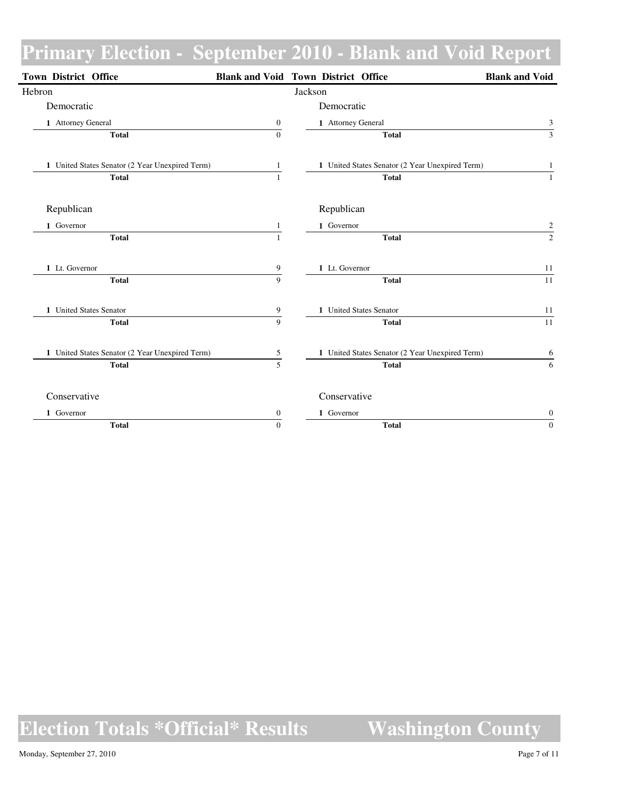| Town District Office                            |                  | <b>Blank and Void Town District Office</b>      | <b>Blank and Void</b>   |
|-------------------------------------------------|------------------|-------------------------------------------------|-------------------------|
| Hebron                                          |                  | Jackson                                         |                         |
| Democratic                                      |                  | Democratic                                      |                         |
| 1 Attorney General                              | $\boldsymbol{0}$ | 1 Attorney General                              | 3                       |
| <b>Total</b>                                    | $\overline{0}$   | <b>Total</b>                                    | $\overline{3}$          |
| 1 United States Senator (2 Year Unexpired Term) | 1                | 1 United States Senator (2 Year Unexpired Term) | $\mathbf{1}$            |
| <b>Total</b>                                    | $\mathbf{1}$     | <b>Total</b>                                    | $\mathbf{1}$            |
| Republican                                      |                  | Republican                                      |                         |
| 1 Governor                                      | 1                | 1 Governor                                      | $\overline{\mathbf{c}}$ |
| <b>Total</b>                                    | $\mathbf{1}$     | <b>Total</b>                                    | $\overline{2}$          |
| 1 Lt. Governor                                  | 9                | 1 Lt. Governor                                  | 11                      |
| <b>Total</b>                                    | $\overline{9}$   | <b>Total</b>                                    | 11                      |
| 1 United States Senator                         | $\boldsymbol{9}$ | 1 United States Senator                         | 11                      |
| <b>Total</b>                                    | 9                | <b>Total</b>                                    | 11                      |
| 1 United States Senator (2 Year Unexpired Term) | $\sqrt{5}$       | 1 United States Senator (2 Year Unexpired Term) | 6                       |
| <b>Total</b>                                    | $\overline{5}$   | <b>Total</b>                                    | 6                       |
| Conservative                                    |                  | Conservative                                    |                         |
| 1 Governor                                      | $\mathbf{0}$     | 1 Governor                                      | $\boldsymbol{0}$        |
| <b>Total</b>                                    | $\Omega$         | <b>Total</b>                                    | $\mathbf{0}$            |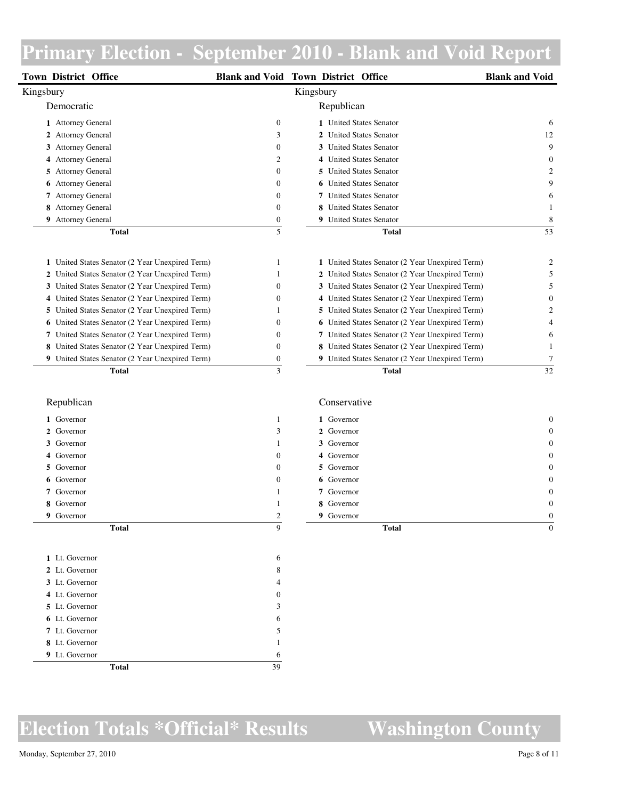| Town District Office                                   |                   | <b>Blank and Void Town District Office</b>      | <b>Blank and Void</b> |
|--------------------------------------------------------|-------------------|-------------------------------------------------|-----------------------|
| Kingsbury                                              |                   | Kingsbury                                       |                       |
| Democratic                                             |                   | Republican                                      |                       |
| 1 Attorney General                                     | $\boldsymbol{0}$  | 1 United States Senator                         | 6                     |
| 2 Attorney General                                     | 3                 | 2 United States Senator                         | 12                    |
| 3 Attorney General                                     | $\boldsymbol{0}$  | 3 United States Senator                         | 9                     |
| 4 Attorney General                                     | $\overline{c}$    | 4 United States Senator                         | $\overline{0}$        |
| 5 Attorney General                                     | $\boldsymbol{0}$  | 5 United States Senator                         | $\overline{2}$        |
| <b>6</b> Attorney General                              | $\boldsymbol{0}$  | <b>6</b> United States Senator                  | 9                     |
| 7 Attorney General                                     | $\boldsymbol{0}$  | 7 United States Senator                         | 6                     |
| 8 Attorney General                                     | $\mathbf{0}$      | 8 United States Senator                         | 1                     |
| 9 Attorney General                                     | $\boldsymbol{0}$  | 9 United States Senator                         | 8                     |
| <b>Total</b>                                           | 5                 | <b>Total</b>                                    | 53                    |
| 1 United States Senator (2 Year Unexpired Term)        | $\mathbf{1}$      | 1 United States Senator (2 Year Unexpired Term) | $\overline{2}$        |
| 2 United States Senator (2 Year Unexpired Term)        | 1                 | 2 United States Senator (2 Year Unexpired Term) | 5                     |
| 3 United States Senator (2 Year Unexpired Term)        | $\boldsymbol{0}$  | 3 United States Senator (2 Year Unexpired Term) | 5                     |
| 4 United States Senator (2 Year Unexpired Term)        | $\boldsymbol{0}$  | 4 United States Senator (2 Year Unexpired Term) | $\boldsymbol{0}$      |
| 5 United States Senator (2 Year Unexpired Term)        | $\mathbf{1}$      | 5 United States Senator (2 Year Unexpired Term) | $\overline{2}$        |
| 6 United States Senator (2 Year Unexpired Term)        | $\boldsymbol{0}$  | 6 United States Senator (2 Year Unexpired Term) | $\overline{4}$        |
| <b>7</b> United States Senator (2 Year Unexpired Term) | $\boldsymbol{0}$  | 7 United States Senator (2 Year Unexpired Term) | 6                     |
| 8 United States Senator (2 Year Unexpired Term)        | $\boldsymbol{0}$  | 8 United States Senator (2 Year Unexpired Term) | 1                     |
| 9 United States Senator (2 Year Unexpired Term)        | $\boldsymbol{0}$  | 9 United States Senator (2 Year Unexpired Term) | $\overline{7}$        |
| <b>Total</b>                                           | $\overline{3}$    | <b>Total</b>                                    | 32                    |
| Republican                                             |                   | Conservative                                    |                       |
|                                                        |                   |                                                 |                       |
| 1 Governor<br>2 Governor                               | $\mathbf{1}$<br>3 | 1 Governor<br>2 Governor                        | $\overline{0}$        |
| 3 Governor                                             | $\mathbf{1}$      | 3 Governor                                      | $\theta$<br>$\Omega$  |
| 4 Governor                                             | $\boldsymbol{0}$  | 4 Governor                                      | 0                     |
| 5 Governor                                             | $\boldsymbol{0}$  | 5 Governor                                      | $\theta$              |
| 6 Governor                                             | $\mathbf{0}$      | 6 Governor                                      | $\theta$              |
| 7 Governor                                             | $\mathbf{1}$      | 7 Governor                                      | $\overline{0}$        |
| 8 Governor                                             | $\mathbf{1}$      | 8 Governor                                      | $\overline{0}$        |
| 9 Governor                                             | $\mathbf{2}$      | 9 Governor                                      | $\boldsymbol{0}$      |
| <b>Total</b>                                           | $\mathbf{Q}$      | <b>Total</b>                                    | $\boldsymbol{0}$      |
|                                                        |                   |                                                 |                       |
| 1 Lt. Governor                                         | 6                 |                                                 |                       |
| 2 Lt. Governor                                         | 8                 |                                                 |                       |
| 3 Lt. Governor                                         | $\overline{4}$    |                                                 |                       |

### **Election Totals \*Official\* Results Washington County**

**Total** 39

 Lt. Governor 0 Lt. Governor 3 Lt. Governor 6 Lt. Governor 5 Lt. Governor 1 Lt. Governor 6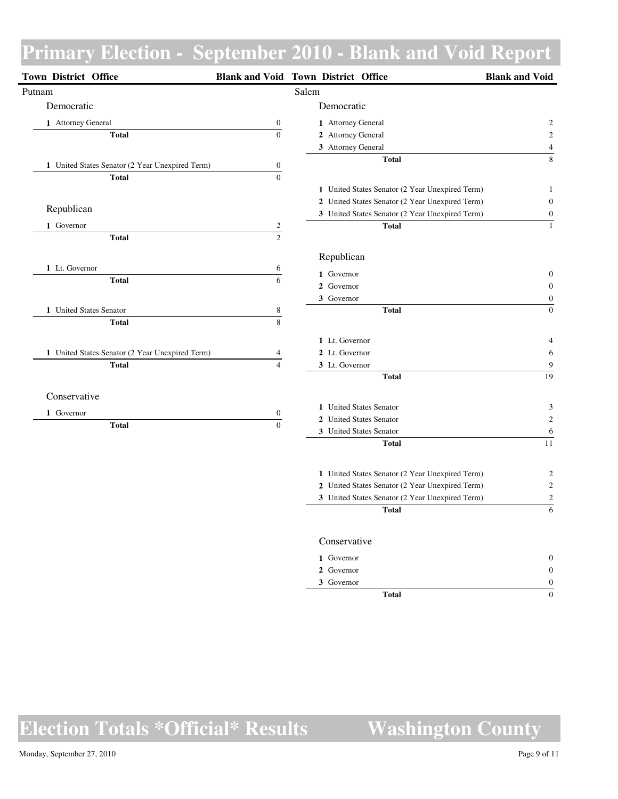| <b>Town District Office</b>                     |                                    | <b>Blank and Void Town District Office</b>      | <b>Blank and Void</b> |
|-------------------------------------------------|------------------------------------|-------------------------------------------------|-----------------------|
| Putnam                                          |                                    | Salem                                           |                       |
| Democratic                                      |                                    | Democratic                                      |                       |
| 1 Attorney General                              | $\boldsymbol{0}$                   | 1 Attorney General                              | 2                     |
| <b>Total</b>                                    | $\overline{0}$                     | 2 Attorney General                              | $\mathbf{2}$          |
|                                                 |                                    | 3 Attorney General                              | $\overline{4}$        |
| 1 United States Senator (2 Year Unexpired Term) | $\boldsymbol{0}$                   | <b>Total</b>                                    | $\,8\,$               |
| <b>Total</b>                                    | $\boldsymbol{0}$                   |                                                 |                       |
|                                                 |                                    | 1 United States Senator (2 Year Unexpired Term) | $\mathbf{1}$          |
|                                                 |                                    | 2 United States Senator (2 Year Unexpired Term) | $\boldsymbol{0}$      |
| Republican                                      |                                    | 3 United States Senator (2 Year Unexpired Term) | $\boldsymbol{0}$      |
| 1 Governor                                      | $\overline{c}$                     | <b>Total</b>                                    | $\mathbf{1}$          |
| <b>Total</b>                                    | $\overline{2}$                     |                                                 |                       |
|                                                 |                                    | Republican                                      |                       |
| 1 Lt. Governor                                  | 6                                  | 1 Governor                                      | $\boldsymbol{0}$      |
| <b>Total</b>                                    | 6                                  | 2 Governor                                      | $\mathbf{0}$          |
|                                                 |                                    | 3 Governor                                      | $\boldsymbol{0}$      |
| 1 United States Senator                         | $\frac{8}{1}$                      | <b>Total</b>                                    | $\boldsymbol{0}$      |
| <b>Total</b>                                    | $\overline{\mathbf{8}}$            |                                                 |                       |
|                                                 |                                    | 1 Lt. Governor                                  | 4                     |
| 1 United States Senator (2 Year Unexpired Term) | 4                                  | 2 Lt. Governor                                  | 6                     |
| <b>Total</b>                                    | $\overline{4}$                     | 3 Lt. Governor                                  | 9                     |
|                                                 |                                    | <b>Total</b>                                    | 19                    |
| Conservative                                    |                                    |                                                 |                       |
|                                                 |                                    | 1 United States Senator                         | 3                     |
| 1 Governor<br><b>Total</b>                      | $\boldsymbol{0}$<br>$\overline{0}$ | 2 United States Senator                         | $\sqrt{2}$            |
|                                                 |                                    | 3 United States Senator                         | 6                     |
|                                                 |                                    | <b>Total</b>                                    | 11                    |
|                                                 |                                    | 1 United States Senator (2 Year Unexpired Term) | 2                     |
|                                                 |                                    | 2 United States Senator (2 Year Unexpired Term) | $\overline{c}$        |
|                                                 |                                    | 3 United States Senator (2 Year Unexpired Term) | $\boldsymbol{2}$      |
|                                                 |                                    | <b>Total</b>                                    | $\overline{6}$        |
|                                                 |                                    | Conservative                                    |                       |
|                                                 |                                    | 1 Governor                                      | $\boldsymbol{0}$      |
|                                                 |                                    | 2 Governor                                      | $\boldsymbol{0}$      |
|                                                 |                                    | 3 Governor                                      | $\boldsymbol{0}$      |
|                                                 |                                    | <b>Total</b>                                    | $\mathbf{0}$          |
|                                                 |                                    |                                                 |                       |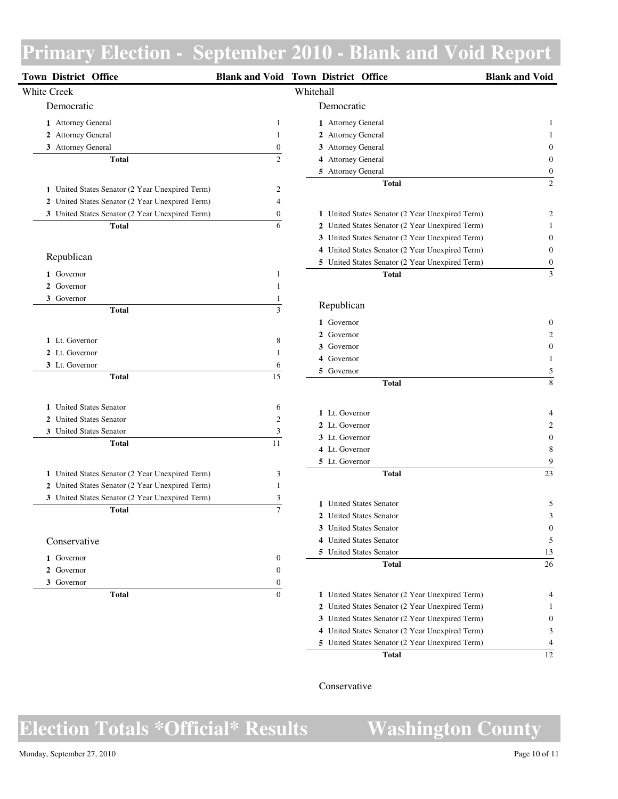| Town District Office                            |                         | <b>Blank and Void Town District Office</b>      | <b>Blank and Void</b> |
|-------------------------------------------------|-------------------------|-------------------------------------------------|-----------------------|
| White Creek                                     |                         | Whitehall                                       |                       |
| Democratic                                      |                         | Democratic                                      |                       |
| 1 Attorney General                              | 1                       | 1 Attorney General                              | 1                     |
| 2 Attorney General                              | $\mathbf{1}$            | 2 Attorney General                              |                       |
| 3 Attorney General                              | $\boldsymbol{0}$        | 3 Attorney General                              |                       |
| <b>Total</b>                                    | $\overline{c}$          | 4 Attorney General                              |                       |
|                                                 |                         | 5 Attorney General                              | 0                     |
| 1 United States Senator (2 Year Unexpired Term) | 2                       | <b>Total</b>                                    | $\overline{2}$        |
| 2 United States Senator (2 Year Unexpired Term) | 4                       |                                                 |                       |
| 3 United States Senator (2 Year Unexpired Term) | 0                       | 1 United States Senator (2 Year Unexpired Term) | 2                     |
| <b>Total</b>                                    | 6                       | 2 United States Senator (2 Year Unexpired Term) |                       |
|                                                 |                         | 3 United States Senator (2 Year Unexpired Term) | 0                     |
|                                                 |                         | 4 United States Senator (2 Year Unexpired Term) | 0                     |
| Republican                                      |                         | 5 United States Senator (2 Year Unexpired Term) | $\boldsymbol{0}$      |
| 1 Governor                                      | 1                       | <b>Total</b>                                    | 3                     |
| 2 Governor                                      | 1                       |                                                 |                       |
| 3 Governor                                      | 1                       |                                                 |                       |
| <b>Total</b>                                    | $\overline{\mathbf{3}}$ | Republican                                      |                       |
|                                                 |                         | 1 Governor                                      |                       |
|                                                 |                         | 2 Governor                                      |                       |
| 1 Lt. Governor                                  | 8                       | 3 Governor                                      | 0                     |
| 2 Lt. Governor                                  | 1                       | 4 Governor                                      |                       |
| 3 Lt. Governor                                  | 6<br>$\overline{15}$    | 5 Governor                                      | 5                     |
| <b>Total</b>                                    |                         | <b>Total</b>                                    | 8                     |
| 1 United States Senator                         | 6                       |                                                 |                       |
| 2 United States Senator                         | $\mathfrak{2}$          | 1 Lt. Governor                                  |                       |
| 3 United States Senator                         | 3                       | 2 Lt. Governor<br>3 Lt. Governor                |                       |
| <b>Total</b>                                    | 11                      | 4 Lt. Governor                                  |                       |
|                                                 |                         | 5 Lt. Governor                                  | 8<br>9                |
| 1 United States Senator (2 Year Unexpired Term) | 3                       | <b>Total</b>                                    | 23                    |
| 2 United States Senator (2 Year Unexpired Term) | 1                       |                                                 |                       |
| 3 United States Senator (2 Year Unexpired Term) | 3                       |                                                 |                       |
| <b>Total</b>                                    | $\overline{7}$          | 1 United States Senator                         | 5                     |
|                                                 |                         | 2 United States Senator                         | 3                     |
|                                                 |                         | 3 United States Senator                         | 0                     |
| Conservative                                    |                         | 4 United States Senator                         | 5                     |
| 1 Governor                                      | $\boldsymbol{0}$        | 5 United States Senator                         | 13                    |
| 2 Governor                                      | $\boldsymbol{0}$        | <b>Total</b>                                    | 26                    |
| 3 Governor                                      | 0                       |                                                 |                       |
| <b>Total</b>                                    | $\boldsymbol{0}$        | 1 United States Senator (2 Year Unexpired Term) | 4                     |
|                                                 |                         | 2 United States Senator (2 Year Unexpired Term) | 1                     |
|                                                 |                         | 3 United States Senator (2 Year Unexpired Term) | $\boldsymbol{0}$      |
|                                                 |                         | 4 United States Senator (2 Year Unexpired Term) | 3                     |

### Conservative

**Election Totals \*Official\* Results Washington County**

**Total** 12

United States Senator (2 Year Unexpired Term) 4